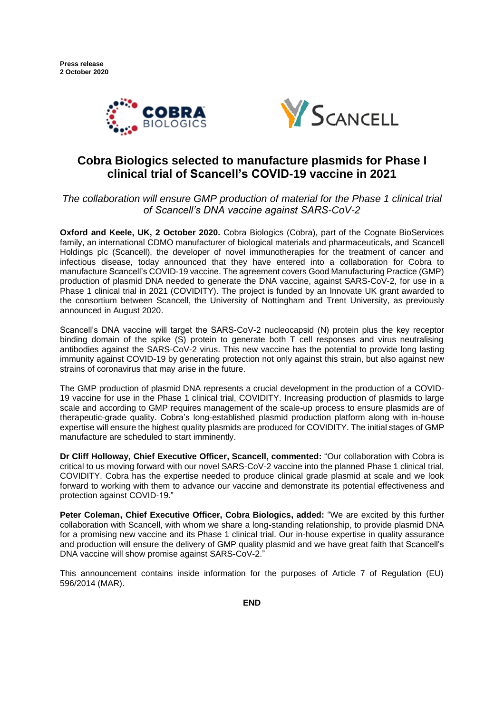



# **Cobra Biologics selected to manufacture plasmids for Phase I clinical trial of Scancell's COVID-19 vaccine in 2021**

*The collaboration will ensure GMP production of material for the Phase 1 clinical trial of Scancell's DNA vaccine against SARS-CoV-2*

**Oxford and Keele, UK, 2 October 2020.** Cobra Biologics (Cobra), part of the Cognate BioServices family, an international CDMO manufacturer of biological materials and pharmaceuticals, and Scancell Holdings plc (Scancell), the developer of novel immunotherapies for the treatment of cancer and infectious disease, today announced that they have entered into a collaboration for Cobra to manufacture Scancell's COVID-19 vaccine. The agreement covers Good Manufacturing Practice (GMP) production of plasmid DNA needed to generate the DNA vaccine, against SARS-CoV-2, for use in a Phase 1 clinical trial in 2021 (COVIDITY). The project is funded by an Innovate UK grant awarded to the consortium between Scancell, the University of Nottingham and Trent University, as previously announced in August 2020.

Scancell's DNA vaccine will target the SARS-CoV-2 nucleocapsid (N) protein plus the key receptor binding domain of the spike (S) protein to generate both T cell responses and virus neutralising antibodies against the SARS-CoV-2 virus. This new vaccine has the potential to provide long lasting immunity against COVID-19 by generating protection not only against this strain, but also against new strains of coronavirus that may arise in the future.

The GMP production of plasmid DNA represents a crucial development in the production of a COVID-19 vaccine for use in the Phase 1 clinical trial, COVIDITY. Increasing production of plasmids to large scale and according to GMP requires management of the scale-up process to ensure plasmids are of therapeutic-grade quality. Cobra's long-established plasmid production platform along with in-house expertise will ensure the highest quality plasmids are produced for COVIDITY. The initial stages of GMP manufacture are scheduled to start imminently.

**Dr Cliff Holloway, Chief Executive Officer, Scancell, commented:** "Our collaboration with Cobra is critical to us moving forward with our novel SARS-CoV-2 vaccine into the planned Phase 1 clinical trial, COVIDITY. Cobra has the expertise needed to produce clinical grade plasmid at scale and we look forward to working with them to advance our vaccine and demonstrate its potential effectiveness and protection against COVID-19."

**Peter Coleman, Chief Executive Officer, Cobra Biologics, added:** "We are excited by this further collaboration with Scancell, with whom we share a long-standing relationship, to provide plasmid DNA for a promising new vaccine and its Phase 1 clinical trial. Our in-house expertise in quality assurance and production will ensure the delivery of GMP quality plasmid and we have great faith that Scancell's DNA vaccine will show promise against SARS-CoV-2."

This announcement contains inside information for the purposes of Article 7 of Regulation (EU) 596/2014 (MAR).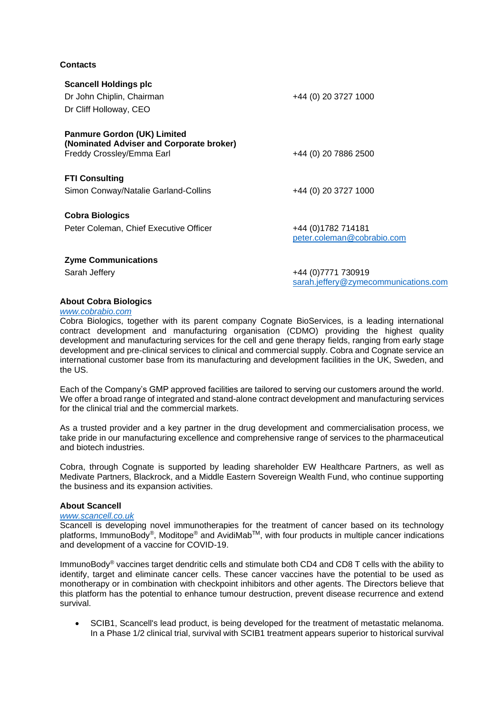## **Contacts**

| <b>Scancell Holdings plc</b>                                                   |                                                             |
|--------------------------------------------------------------------------------|-------------------------------------------------------------|
| Dr John Chiplin, Chairman                                                      | +44 (0) 20 3727 1000                                        |
| Dr Cliff Holloway, CEO                                                         |                                                             |
| <b>Panmure Gordon (UK) Limited</b><br>(Nominated Adviser and Corporate broker) |                                                             |
| Freddy Crossley/Emma Earl                                                      | +44 (0) 20 7886 2500                                        |
| <b>FTI Consulting</b>                                                          |                                                             |
| Simon Conway/Natalie Garland-Collins                                           | +44 (0) 20 3727 1000                                        |
| <b>Cobra Biologics</b>                                                         |                                                             |
| Peter Coleman, Chief Executive Officer                                         | +44 (0) 1782 714181<br>peter.coleman@cobrabio.com           |
| <b>Zyme Communications</b>                                                     |                                                             |
| Sarah Jeffery                                                                  | +44 (0) 7771 730919<br>sarah.jeffery@zymecommunications.com |

## **About Cobra Biologics**

#### *[www.cobrabio.com](http://www.cobrabio.com/)*

Cobra Biologics, together with its parent company Cognate BioServices, is a leading international contract development and manufacturing organisation (CDMO) providing the highest quality development and manufacturing services for the cell and gene therapy fields, ranging from early stage development and pre-clinical services to clinical and commercial supply. Cobra and Cognate service an international customer base from its manufacturing and development facilities in the UK, Sweden, and the US.

Each of the Company's GMP approved facilities are tailored to serving our customers around the world. We offer a broad range of integrated and stand-alone contract development and manufacturing services for the clinical trial and the commercial markets.

As a trusted provider and a key partner in the drug development and commercialisation process, we take pride in our manufacturing excellence and comprehensive range of services to the pharmaceutical and biotech industries.

Cobra, through Cognate is supported by leading shareholder EW Healthcare Partners, as well as Medivate Partners, Blackrock, and a Middle Eastern Sovereign Wealth Fund, who continue supporting the business and its expansion activities.

## **About Scancell**

## *[www.scancell.co.uk](http://www.scancell.co.uk/)*

Scancell is developing novel immunotherapies for the treatment of cancer based on its technology platforms, ImmunoBody<sup>®</sup>, Moditope<sup>®</sup> and AvidiMab<sup>™</sup>, with four products in multiple cancer indications and development of a vaccine for COVID-19.

ImmunoBody<sup>®</sup> vaccines target dendritic cells and stimulate both CD4 and CD8 T cells with the ability to identify, target and eliminate cancer cells. These cancer vaccines have the potential to be used as monotherapy or in combination with checkpoint inhibitors and other agents. The Directors believe that this platform has the potential to enhance tumour destruction, prevent disease recurrence and extend survival.

• SCIB1, Scancell's lead product, is being developed for the treatment of metastatic melanoma. In a Phase 1/2 clinical trial, survival with SCIB1 treatment appears superior to historical survival